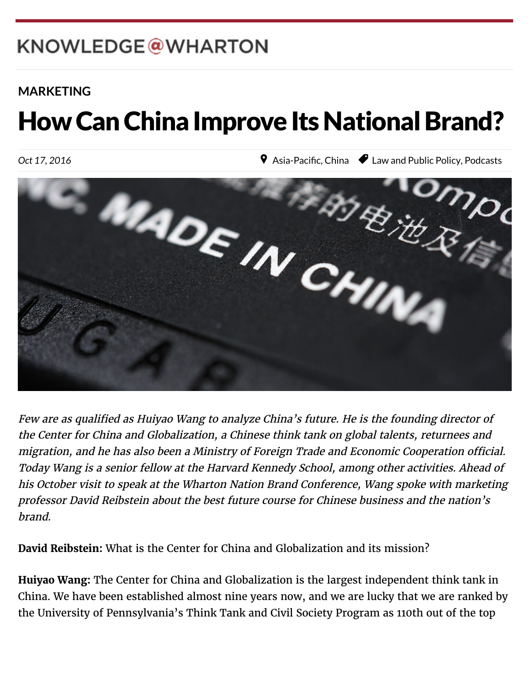# KNOWLEDGE@WHARTON

 $W_{\rm eff}$  which is the Pennsylvanian of  $P_{\rm eff}$ 

### **[MARKETING](http://knowledge.wharton.upenn.edu/topic/marketing/)**

#### 繁體中文 How Can China Improve Its National Brand?

Oct 17, 2016

**P** [Asia-Pacific,](http://knowledge.wharton.upenn.edu/region/asia-pacific/) [China](http://knowledge.wharton.upenn.edu/region/china/) *●* [Law and Public Policy,](http://knowledge.wharton.upenn.edu/category/law-and-public-policy/) [Podcasts](http://knowledge.wharton.upenn.edu/category/podcasts/)



Few are as qualified as Huiyao Wang to analyze China's future. He is the founding director of the Center for China and Globalization, a Chinese think tank on global talents, returnees and migration, and he has also been a Ministry of Foreign Trade and Economic Cooperation official. Today Wang is a senior fellow at the Harvard Kennedy School, among other activities. Ahead of his October visit to speak at the [Wharton Nation Brand Conference](http://www.whartonnationbrandconference.com/), Wang spoke with marketing professor [David Reibstein](http://knowledge.wharton.upenn.edu/faculty/reibstein/) about the best future course for Chinese business and the nation's brand.

**David Reibstein:** What is the Center for China and Globalization and its mission?

**Huiyao Wang:** The Center for China and Globalization is the largest independent think tank in China. We have been established almost nine years now, and we are lucky that we are ranked by the University of Pennsylvania's Think Tank and Civil Society Program as 110th out of the top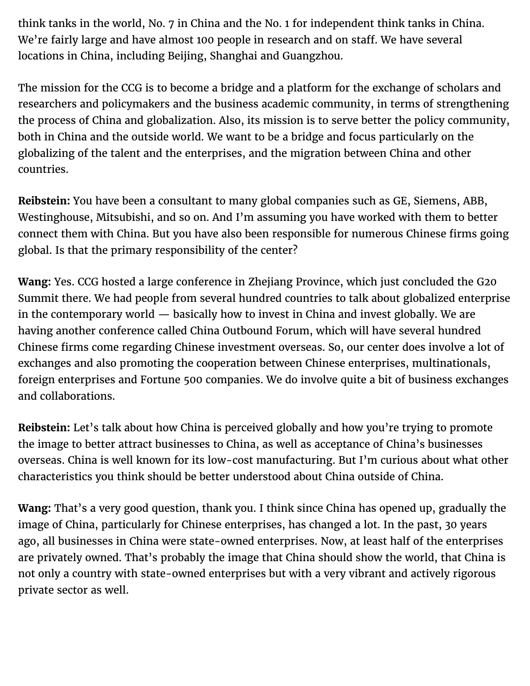think tanks in the world, No. 7 in China and the No. 1 for independent think tanks in China. We're fairly large and have almost 100 people in research and on staff. We have several locations in China, including Beijing, Shanghai and Guangzhou.

The mission for the CCG is to become a bridge and a platform for the exchange of scholars and researchers and policymakers and the business academic community, in terms of strengthening the process of China and globalization. Also, its mission is to serve better the policy community, both in China and the outside world. We want to be a bridge and focus particularly on the globalizing of the talent and the enterprises, and the migration between China and other countries.

**Reibstein:** You have been a consultant to many global companies such as GE, Siemens, ABB, Westinghouse, Mitsubishi, and so on. And I'm assuming you have worked with them to better connect them with China. But you have also been responsible for numerous Chinese firms going global. Is that the primary responsibility of the center?

**Wang:** Yes. CCG hosted a large conference in Zhejiang Province, which just concluded the G20 Summit there. We had people from several hundred countries to talk about globalized enterprise in the contemporary world — basically how to invest in China and invest globally. We are having another conference called China Outbound Forum, which will have several hundred Chinese firms come regarding Chinese investment overseas. So, our center does involve a lot of exchanges and also promoting the cooperation between Chinese enterprises, multinationals, foreign enterprises and Fortune 500 companies. We do involve quite a bit of business exchanges and collaborations.

**Reibstein:** Let's talk about how China is perceived globally and how you're trying to promote the image to better attract businesses to China, as well as acceptance of China's businesses overseas. China is well known for its low-cost manufacturing. But I'm curious about what other characteristics you think should be better understood about China outside of China.

**Wang:** That's a very good question, thank you. I think since China has opened up, gradually the image of China, particularly for Chinese enterprises, has changed a lot. In the past, 30 years ago, all businesses in China were state-owned enterprises. Now, at least half of the enterprises are privately owned. That's probably the image that China should show the world, that China is not only a country with state-owned enterprises but with a very vibrant and actively rigorous private sector as well.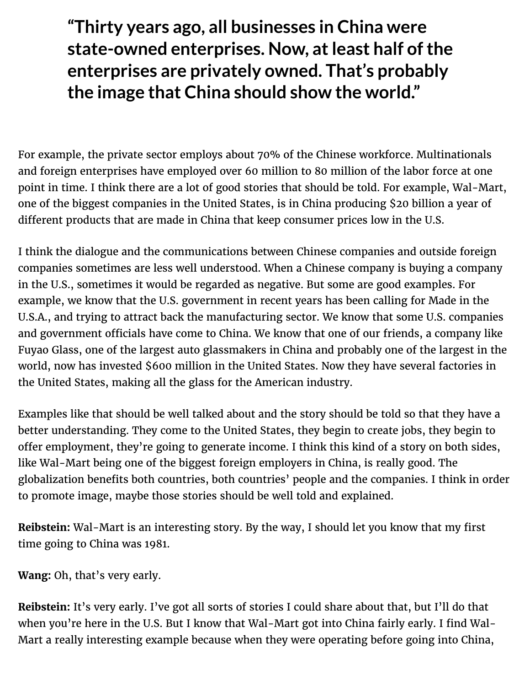**"Thirty years ago, all businesses in China were state-owned enterprises. Now, at least half of the enterprises are privately owned. That's probably the image that China should show the world."**

For example, the private sector employs about 70% of the Chinese workforce. Multinationals and foreign enterprises have employed over 60 million to 80 million of the labor force at one point in time. I think there are a lot of good stories that should be told. For example, Wal-Mart, one of the biggest companies in the United States, is in China producing \$20 billion a year of different products that are made in China that keep consumer prices low in the U.S.

I think the dialogue and the communications between Chinese companies and outside foreign companies sometimes are less well understood. When a Chinese company is buying a company in the U.S., sometimes it would be regarded as negative. But some are good examples. For example, we know that the U.S. government in recent years has been calling for Made in the U.S.A., and trying to attract back the manufacturing sector. We know that some U.S. companies and government officials have come to China. We know that one of our friends, a company like Fuyao Glass, one of the largest auto glassmakers in China and probably one of the largest in the world, now has invested \$600 million in the United States. Now they have several factories in the United States, making all the glass for the American industry.

Examples like that should be well talked about and the story should be told so that they have a better understanding. They come to the United States, they begin to create jobs, they begin to offer employment, they're going to generate income. I think this kind of a story on both sides, like Wal-Mart being one of the biggest foreign employers in China, is really good. The globalization benefits both countries, both countries' people and the companies. I think in order to promote image, maybe those stories should be well told and explained.

**Reibstein:** Wal-Mart is an interesting story. By the way, I should let you know that my first time going to China was 1981.

**Wang:** Oh, that's very early.

**Reibstein:** It's very early. I've got all sorts of stories I could share about that, but I'll do that when you're here in the U.S. But I know that Wal-Mart got into China fairly early. I find Wal-Mart a really interesting example because when they were operating before going into China,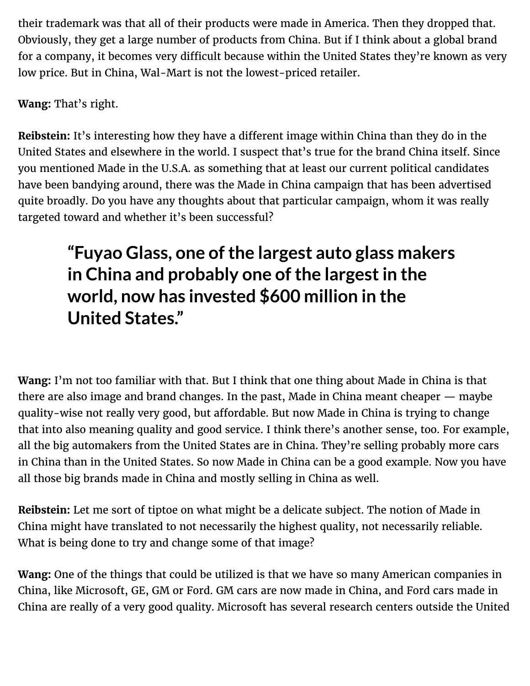their trademark was that all of their products were made in America. Then they dropped that. Obviously, they get a large number of products from China. But if I think about a global brand for a company, it becomes very difficult because within the United States they're known as very low price. But in China, Wal-Mart is not the lowest-priced retailer.

**Wang:** That's right.

**Reibstein:** It's interesting how they have a different image within China than they do in the United States and elsewhere in the world. I suspect that's true for the brand China itself. Since you mentioned Made in the U.S.A. as something that at least our current political candidates have been bandying around, there was the Made in China campaign that has been advertised quite broadly. Do you have any thoughts about that particular campaign, whom it was really targeted toward and whether it's been successful?

## **"Fuyao Glass, one of the largest auto glass makers in China and probably one of the largest in the world, now has invested \$600 million in the United States."**

**Wang:** I'm not too familiar with that. But I think that one thing about Made in China is that there are also image and brand changes. In the past, Made in China meant cheaper — maybe quality-wise not really very good, but affordable. But now Made in China is trying to change that into also meaning quality and good service. I think there's another sense, too. For example, all the big automakers from the United States are in China. They're selling probably more cars in China than in the United States. So now Made in China can be a good example. Now you have all those big brands made in China and mostly selling in China as well.

**Reibstein:** Let me sort of tiptoe on what might be a delicate subject. The notion of Made in China might have translated to not necessarily the highest quality, not necessarily reliable. What is being done to try and change some of that image?

**Wang:** One of the things that could be utilized is that we have so many American companies in China, like Microsoft, GE, GM or Ford. GM cars are now made in China, and Ford cars made in China are really of a very good quality. Microsoft has several research centers outside the United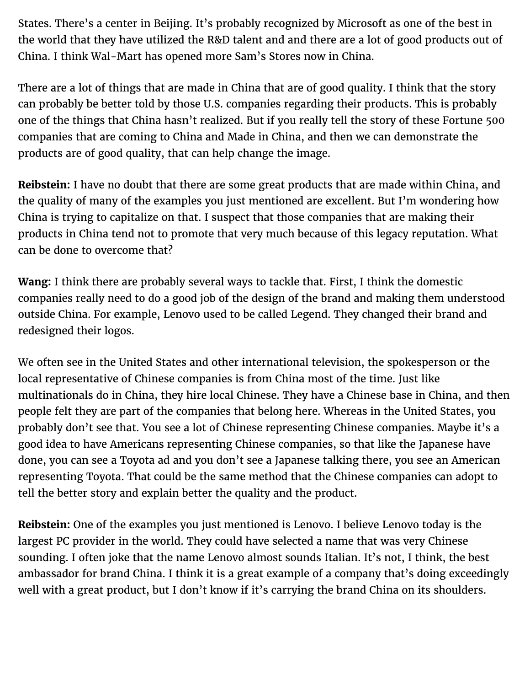States. There's a center in Beijing. It's probably recognized by Microsoft as one of the best in the world that they have utilized the R&D talent and and there are a lot of good products out of China. I think Wal-Mart has opened more Sam's Stores now in China.

There are a lot of things that are made in China that are of good quality. I think that the story can probably be better told by those U.S. companies regarding their products. This is probably one of the things that China hasn't realized. But if you really tell the story of these Fortune 500 companies that are coming to China and Made in China, and then we can demonstrate the products are of good quality, that can help change the image.

**Reibstein:** I have no doubt that there are some great products that are made within China, and the quality of many of the examples you just mentioned are excellent. But I'm wondering how China is trying to capitalize on that. I suspect that those companies that are making their products in China tend not to promote that very much because of this legacy reputation. What can be done to overcome that?

**Wang:** I think there are probably several ways to tackle that. First, I think the domestic companies really need to do a good job of the design of the brand and making them understood outside China. For example, Lenovo used to be called Legend. They changed their brand and redesigned their logos.

We often see in the United States and other international television, the spokesperson or the local representative of Chinese companies is from China most of the time. Just like multinationals do in China, they hire local Chinese. They have a Chinese base in China, and then people felt they are part of the companies that belong here. Whereas in the United States, you probably don't see that. You see a lot of Chinese representing Chinese companies. Maybe it's a good idea to have Americans representing Chinese companies, so that like the Japanese have done, you can see a Toyota ad and you don't see a Japanese talking there, you see an American representing Toyota. That could be the same method that the Chinese companies can adopt to tell the better story and explain better the quality and the product.

**Reibstein:** One of the examples you just mentioned is Lenovo. I believe Lenovo today is the largest PC provider in the world. They could have selected a name that was very Chinese sounding. I often joke that the name Lenovo almost sounds Italian. It's not, I think, the best ambassador for brand China. I think it is a great example of a company that's doing exceedingly well with a great product, but I don't know if it's carrying the brand China on its shoulders.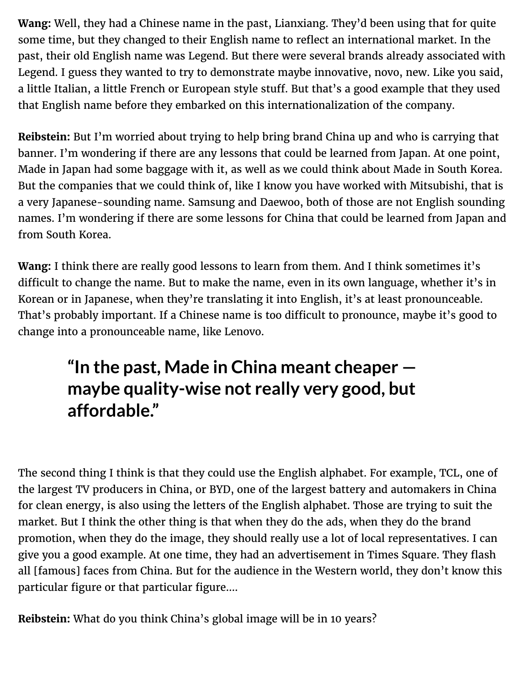**Wang:** Well, they had a Chinese name in the past, Lianxiang. They'd been using that for quite some time, but they changed to their English name to reflect an international market. In the past, their old English name was Legend. But there were several brands already associated with Legend. I guess they wanted to try to demonstrate maybe innovative, novo, new. Like you said, a little Italian, a little French or European style stuff. But that's a good example that they used that English name before they embarked on this internationalization of the company.

**Reibstein:** But I'm worried about trying to help bring brand China up and who is carrying that banner. I'm wondering if there are any lessons that could be learned from Japan. At one point, Made in Japan had some baggage with it, as well as we could think about Made in South Korea. But the companies that we could think of, like I know you have worked with Mitsubishi, that is a very Japanese-sounding name. Samsung and Daewoo, both of those are not English sounding names. I'm wondering if there are some lessons for China that could be learned from Japan and from South Korea.

**Wang:** I think there are really good lessons to learn from them. And I think sometimes it's difficult to change the name. But to make the name, even in its own language, whether it's in Korean or in Japanese, when they're translating it into English, it's at least pronounceable. That's probably important. If a Chinese name is too difficult to pronounce, maybe it's good to change into a pronounceable name, like Lenovo.

### **"In the past, Made in China meant cheaper maybe quality-wise not really very good, but affordable."**

The second thing I think is that they could use the English alphabet. For example, TCL, one of the largest TV producers in China, or BYD, one of the largest battery and automakers in China for clean energy, is also using the letters of the English alphabet. Those are trying to suit the market. But I think the other thing is that when they do the ads, when they do the brand promotion, when they do the image, they should really use a lot of local representatives. I can give you a good example. At one time, they had an advertisement in Times Square. They flash all [famous] faces from China. But for the audience in the Western world, they don't know this particular figure or that particular figure….

**Reibstein:** What do you think China's global image will be in 10 years?